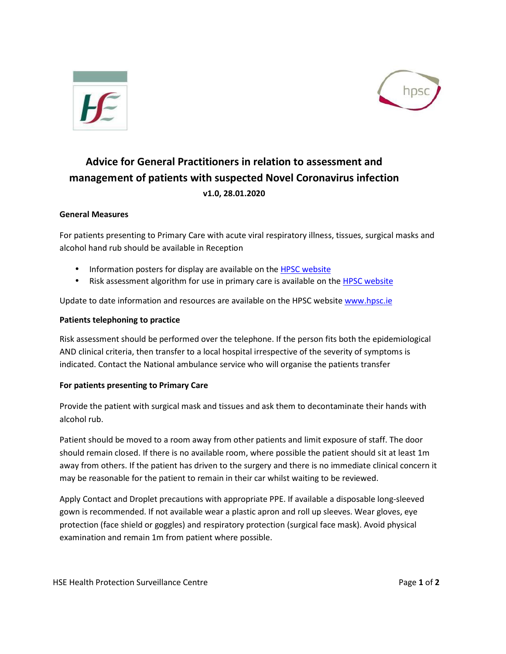



# **Advice for General Practitioners in relation to assessment and management of patients with suspected Novel Coronavirus infection v1.0, 28.01.2020**

## **General Measures**

For patients presenting to Primary Care with acute viral respiratory illness, tissues, surgical masks and alcohol hand rub should be available in Reception

- Information posters for display are available on the [HPSC](https://www.hpsc.ie/a-z/respiratory/coronavirus/novelcoronavirus/posters/) website
- Risk assessment algorithm for use in primary care is available on the **[HPSC](https://www.hpsc.ie/a-z/respiratory/coronavirus/novelcoronavirus/algorithms/) website**

Update to date information and resources are available on the HPSC website [www.hpsc.ie](http://www.hpsc.ie/)

#### **Patients telephoning to practice**

Risk assessment should be performed over the telephone. If the person fits both the epidemiological AND clinical criteria, then transfer to a local hospital irrespective of the severity of symptoms is indicated. Contact the National ambulance service who will organise the patients transfer

### **For patients presenting to Primary Care**

Provide the patient with surgical mask and tissues and ask them to decontaminate their hands with alcohol rub.

Patient should be moved to a room away from other patients and limit exposure of staff. The door should remain closed. If there is no available room, where possible the patient should sit at least 1m away from others. If the patient has driven to the surgery and there is no immediate clinical concern it may be reasonable for the patient to remain in their car whilst waiting to be reviewed.

Apply Contact and Droplet precautions with appropriate PPE. If available a disposable long-sleeved gown is recommended. If not available wear a plastic apron and roll up sleeves. Wear gloves, eye protection (face shield or goggles) and respiratory protection (surgical face mask). Avoid physical examination and remain 1m from patient where possible.